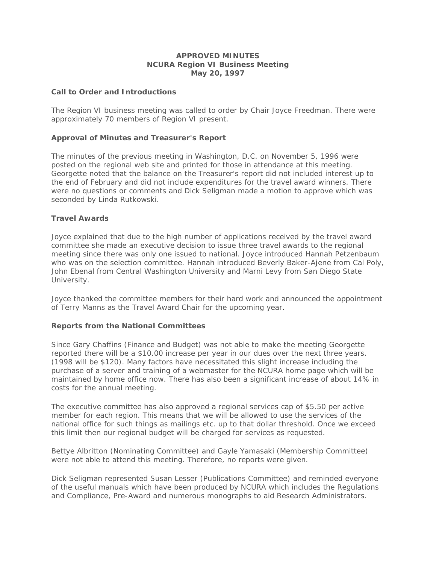## **APPROVED MINUTES NCURA Region VI Business Meeting May 20, 1997**

## **Call to Order and Introductions**

The Region VI business meeting was called to order by Chair Joyce Freedman. There were approximately 70 members of Region VI present.

## **Approval of Minutes and Treasurer's Report**

The minutes of the previous meeting in Washington, D.C. on November 5, 1996 were posted on the regional web site and printed for those in attendance at this meeting. Georgette noted that the balance on the Treasurer's report did not included interest up to the end of February and did not include expenditures for the travel award winners. There were no questions or comments and Dick Seligman made a motion to approve which was seconded by Linda Rutkowski.

## **Travel Awards**

Joyce explained that due to the high number of applications received by the travel award committee she made an executive decision to issue three travel awards to the regional meeting since there was only one issued to national. Joyce introduced Hannah Petzenbaum who was on the selection committee. Hannah introduced Beverly Baker-Ajene from Cal Poly, John Ebenal from Central Washington University and Marni Levy from San Diego State University.

Joyce thanked the committee members for their hard work and announced the appointment of Terry Manns as the Travel Award Chair for the upcoming year.

#### **Reports from the National Committees**

Since Gary Chaffins (Finance and Budget) was not able to make the meeting Georgette reported there will be a \$10.00 increase per year in our dues over the next three years. (1998 will be \$120). Many factors have necessitated this slight increase including the purchase of a server and training of a webmaster for the NCURA home page which will be maintained by home office now. There has also been a significant increase of about 14% in costs for the annual meeting.

The executive committee has also approved a regional services cap of \$5.50 per active member for each region. This means that we will be allowed to use the services of the national office for such things as mailings etc. up to that dollar threshold. Once we exceed this limit then our regional budget will be charged for services as requested.

Bettye Albritton (Nominating Committee) and Gayle Yamasaki (Membership Committee) were not able to attend this meeting. Therefore, no reports were given.

Dick Seligman represented Susan Lesser (Publications Committee) and reminded everyone of the useful manuals which have been produced by NCURA which includes the Regulations and Compliance, Pre-Award and numerous monographs to aid Research Administrators.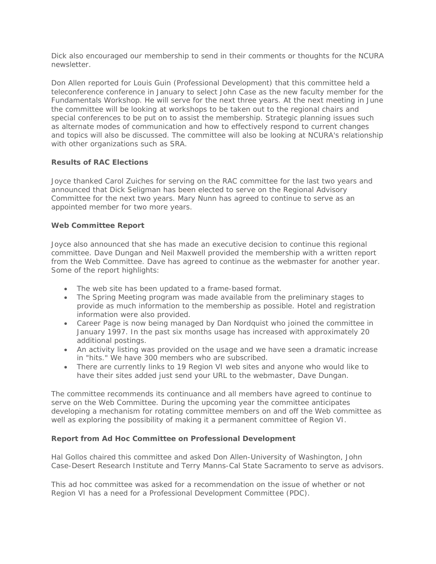Dick also encouraged our membership to send in their comments or thoughts for the NCURA newsletter.

Don Allen reported for Louis Guin (Professional Development) that this committee held a teleconference conference in January to select John Case as the new faculty member for the Fundamentals Workshop. He will serve for the next three years. At the next meeting in June the committee will be looking at workshops to be taken out to the regional chairs and special conferences to be put on to assist the membership. Strategic planning issues such as alternate modes of communication and how to effectively respond to current changes and topics will also be discussed. The committee will also be looking at NCURA's relationship with other organizations such as SRA.

# **Results of RAC Elections**

Joyce thanked Carol Zuiches for serving on the RAC committee for the last two years and announced that Dick Seligman has been elected to serve on the Regional Advisory Committee for the next two years. Mary Nunn has agreed to continue to serve as an appointed member for two more years.

# **Web Committee Report**

Joyce also announced that she has made an executive decision to continue this regional committee. Dave Dungan and Neil Maxwell provided the membership with a written report from the Web Committee. Dave has agreed to continue as the webmaster for another year. Some of the report highlights:

- The web site has been updated to a frame-based format.
- The Spring Meeting program was made available from the preliminary stages to provide as much information to the membership as possible. Hotel and registration information were also provided.
- Career Page is now being managed by Dan Nordquist who joined the committee in January 1997. In the past six months usage has increased with approximately 20 additional postings.
- An activity listing was provided on the usage and we have seen a dramatic increase in "hits." We have 300 members who are subscribed.
- There are currently links to 19 Region VI web sites and anyone who would like to have their sites added just send your URL to the webmaster, Dave Dungan.

The committee recommends its continuance and all members have agreed to continue to serve on the Web Committee. During the upcoming year the committee anticipates developing a mechanism for rotating committee members on and off the Web committee as well as exploring the possibility of making it a permanent committee of Region VI.

# **Report from Ad Hoc Committee on Professional Development**

Hal Gollos chaired this committee and asked Don Allen-University of Washington, John Case-Desert Research Institute and Terry Manns-Cal State Sacramento to serve as advisors.

This ad hoc committee was asked for a recommendation on the issue of whether or not Region VI has a need for a Professional Development Committee (PDC).